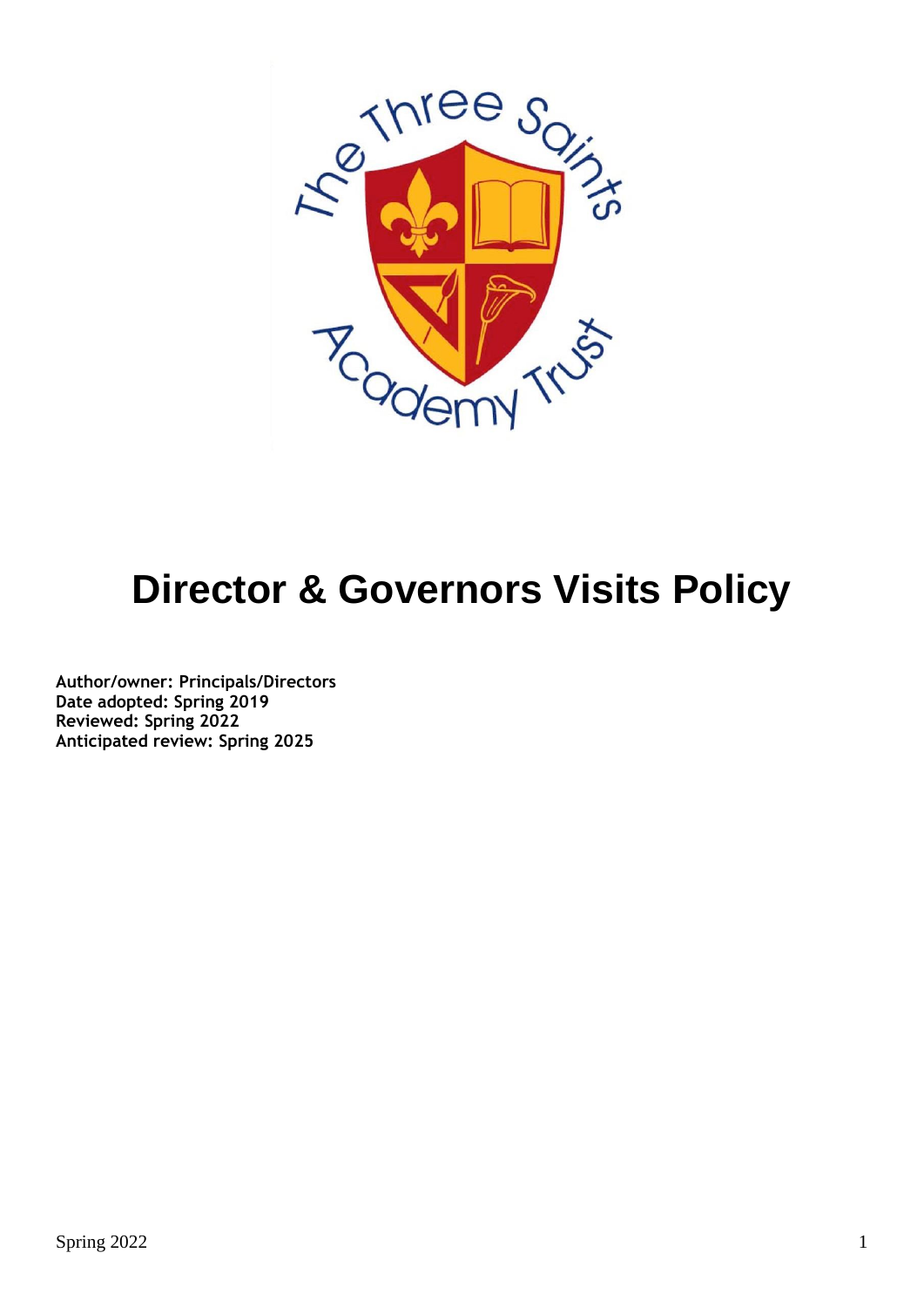

# **Director & Governors Visits Policy**

**Author/owner: Principals/Directors Date adopted: Spring 2019 Reviewed: Spring 2022 Anticipated review: Spring 2025**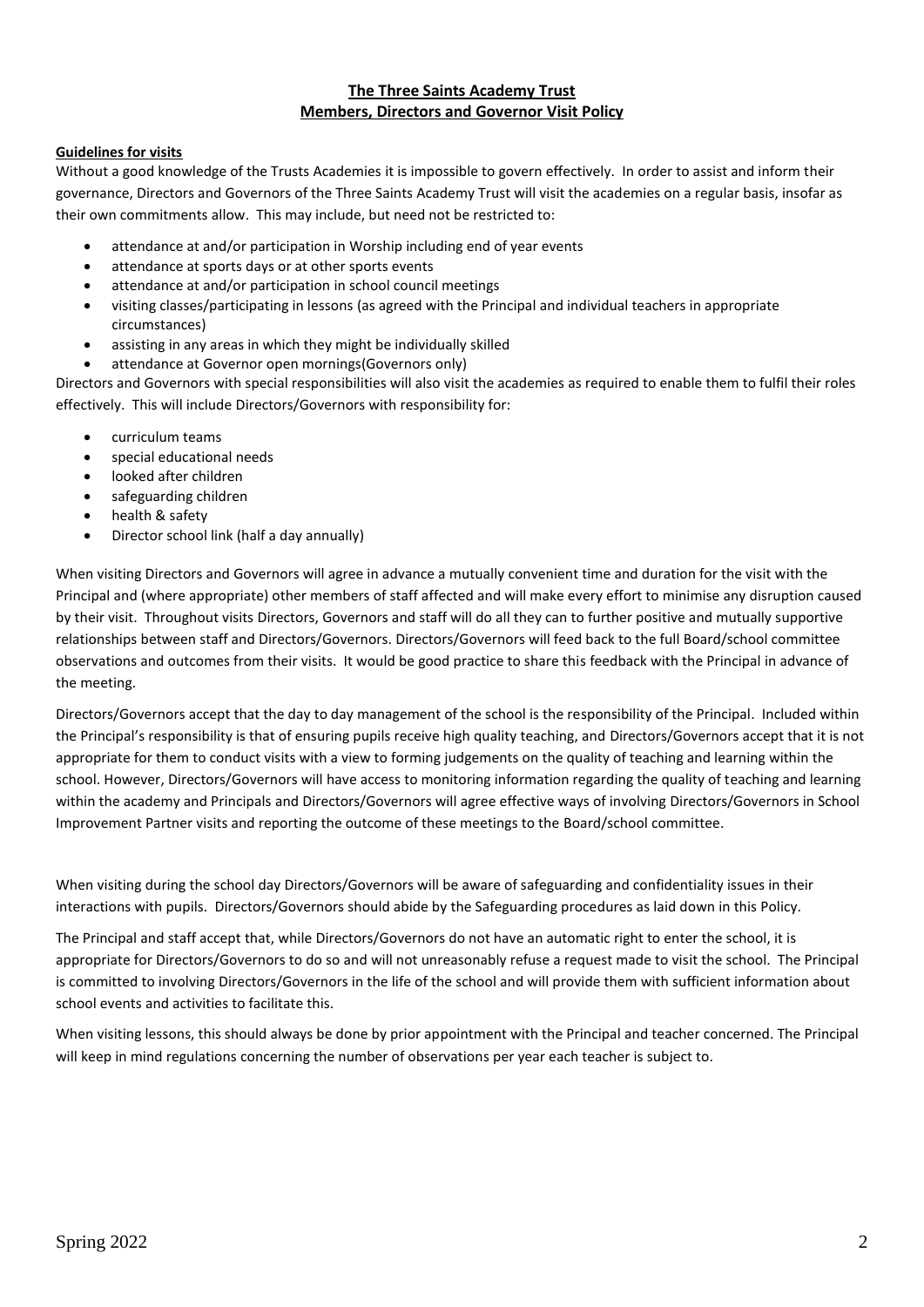#### **The Three Saints Academy Trust Members, Directors and Governor Visit Policy**

#### **Guidelines for visits**

Without a good knowledge of the Trusts Academies it is impossible to govern effectively. In order to assist and inform their governance, Directors and Governors of the Three Saints Academy Trust will visit the academies on a regular basis, insofar as their own commitments allow. This may include, but need not be restricted to:

- attendance at and/or participation in Worship including end of year events
- attendance at sports days or at other sports events
- attendance at and/or participation in school council meetings
- visiting classes/participating in lessons (as agreed with the Principal and individual teachers in appropriate circumstances)
- assisting in any areas in which they might be individually skilled
- attendance at Governor open mornings(Governors only)

Directors and Governors with special responsibilities will also visit the academies as required to enable them to fulfil their roles effectively. This will include Directors/Governors with responsibility for:

- curriculum teams
- special educational needs
- looked after children
- safeguarding children
- health & safety
- Director school link (half a day annually)

When visiting Directors and Governors will agree in advance a mutually convenient time and duration for the visit with the Principal and (where appropriate) other members of staff affected and will make every effort to minimise any disruption caused by their visit. Throughout visits Directors, Governors and staff will do all they can to further positive and mutually supportive relationships between staff and Directors/Governors. Directors/Governors will feed back to the full Board/school committee observations and outcomes from their visits. It would be good practice to share this feedback with the Principal in advance of the meeting.

Directors/Governors accept that the day to day management of the school is the responsibility of the Principal. Included within the Principal's responsibility is that of ensuring pupils receive high quality teaching, and Directors/Governors accept that it is not appropriate for them to conduct visits with a view to forming judgements on the quality of teaching and learning within the school. However, Directors/Governors will have access to monitoring information regarding the quality of teaching and learning within the academy and Principals and Directors/Governors will agree effective ways of involving Directors/Governors in School Improvement Partner visits and reporting the outcome of these meetings to the Board/school committee.

When visiting during the school day Directors/Governors will be aware of safeguarding and confidentiality issues in their interactions with pupils. Directors/Governors should abide by the Safeguarding procedures as laid down in this Policy.

The Principal and staff accept that, while Directors/Governors do not have an automatic right to enter the school, it is appropriate for Directors/Governors to do so and will not unreasonably refuse a request made to visit the school. The Principal is committed to involving Directors/Governors in the life of the school and will provide them with sufficient information about school events and activities to facilitate this.

When visiting lessons, this should always be done by prior appointment with the Principal and teacher concerned. The Principal will keep in mind regulations concerning the number of observations per year each teacher is subject to.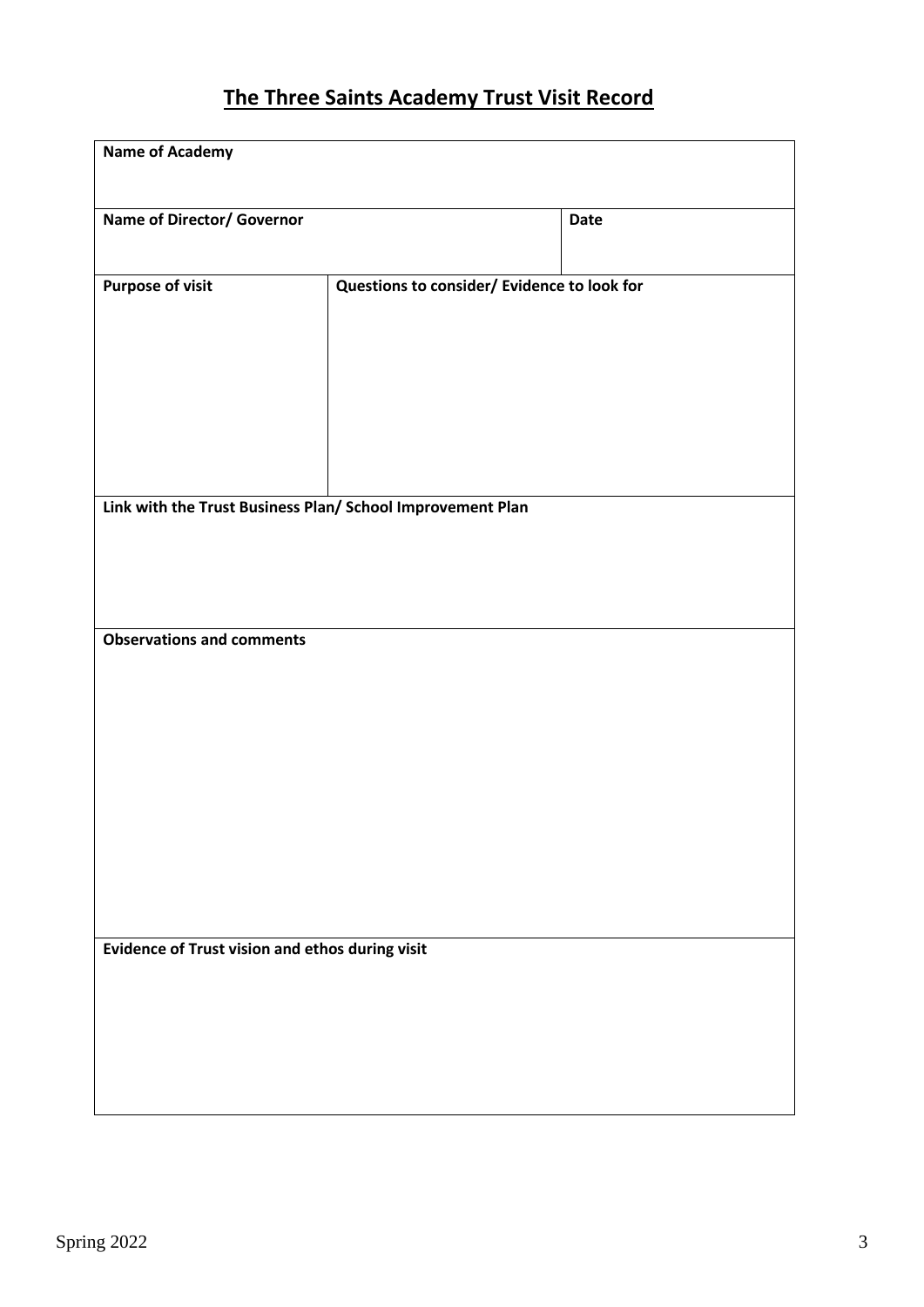## **The Three Saints Academy Trust Visit Record**

| <b>Name of Academy</b>                                     |                                             |      |  |  |
|------------------------------------------------------------|---------------------------------------------|------|--|--|
| Name of Director/ Governor                                 |                                             | Date |  |  |
| <b>Purpose of visit</b>                                    | Questions to consider/ Evidence to look for |      |  |  |
|                                                            |                                             |      |  |  |
|                                                            |                                             |      |  |  |
| Link with the Trust Business Plan/ School Improvement Plan |                                             |      |  |  |
|                                                            |                                             |      |  |  |
| <b>Observations and comments</b>                           |                                             |      |  |  |
|                                                            |                                             |      |  |  |
|                                                            |                                             |      |  |  |
|                                                            |                                             |      |  |  |
|                                                            |                                             |      |  |  |
| Evidence of Trust vision and ethos during visit            |                                             |      |  |  |
|                                                            |                                             |      |  |  |
|                                                            |                                             |      |  |  |